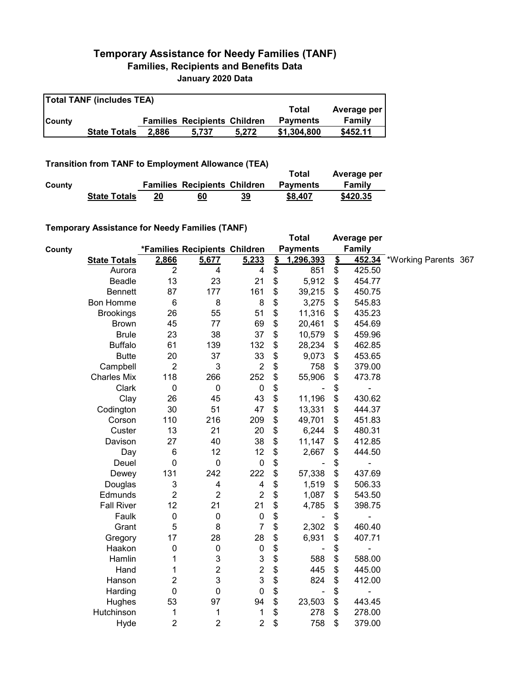## **Temporary Assistance for Needy Families (TANF) Families, Recipients and Benefits Data January 2020 Data**

| <b>Total TANF (includes TEA)</b> |                     |       |                                     |       |                 |             |  |  |
|----------------------------------|---------------------|-------|-------------------------------------|-------|-----------------|-------------|--|--|
|                                  |                     |       |                                     |       | Total           | Average per |  |  |
| <b>County</b>                    |                     |       | <b>Families Recipients Children</b> |       | <b>Payments</b> | Family      |  |  |
|                                  | <b>State Totals</b> | 2.886 | 5.737                               | 5.272 | \$1,304,800     | \$452.11    |  |  |

**Transition from TANF to Employment Allowance (TEA)**

|        |                     |                                     |           | Total           | Average per |
|--------|---------------------|-------------------------------------|-----------|-----------------|-------------|
| County |                     | <b>Families Recipients Children</b> |           | <b>Payments</b> | Family      |
|        | <b>State Totals</b> | 60                                  | <u>39</u> | \$8,407         | \$420.35    |

## **Temporary Assistance for Needy Families (TANF)**

|        | $\frac{1}{2}$ . Notice that $\frac{1}{2}$ is a set of $\frac{1}{2}$ in $\frac{1}{2}$ is a set of $\frac{1}{2}$ |                  |                               |                           |                         | <b>Total</b>    |               | Average per              |                      |  |
|--------|----------------------------------------------------------------------------------------------------------------|------------------|-------------------------------|---------------------------|-------------------------|-----------------|---------------|--------------------------|----------------------|--|
| County |                                                                                                                |                  | *Families Recipients Children |                           |                         | <b>Payments</b> |               | Family                   |                      |  |
|        | <b>State Totals</b>                                                                                            | 2,866            | 5,677                         | 5,233                     | $\mathbf{\mathfrak{L}}$ | 1,296,393       | $\frac{1}{2}$ | 452.34                   | *Working Parents 367 |  |
|        | Aurora                                                                                                         | $\overline{2}$   | 4                             | 4                         | \$                      | 851             | \$            | 425.50                   |                      |  |
|        | Beadle                                                                                                         | 13               | 23                            | 21                        | \$                      | 5,912           | \$            | 454.77                   |                      |  |
|        | <b>Bennett</b>                                                                                                 | 87               | 177                           | 161                       | \$                      | 39,215          | \$            | 450.75                   |                      |  |
|        | <b>Bon Homme</b>                                                                                               | 6                | 8                             | 8                         | \$                      | 3,275           | \$            | 545.83                   |                      |  |
|        | <b>Brookings</b>                                                                                               | 26               | 55                            | 51                        | \$                      | 11,316          | \$            | 435.23                   |                      |  |
|        | <b>Brown</b>                                                                                                   | 45               | 77                            | 69                        | \$                      | 20,461          | \$            | 454.69                   |                      |  |
|        | <b>Brule</b>                                                                                                   | 23               | 38                            | 37                        | \$                      | 10,579          | \$            | 459.96                   |                      |  |
|        | <b>Buffalo</b>                                                                                                 | 61               | 139                           | 132                       | \$                      | 28,234          | \$            | 462.85                   |                      |  |
|        | <b>Butte</b>                                                                                                   | 20               | 37                            | 33                        | \$                      | 9,073           | \$            | 453.65                   |                      |  |
|        | Campbell                                                                                                       | $\overline{2}$   | 3                             | $\overline{2}$            | \$                      | 758             | \$            | 379.00                   |                      |  |
|        | <b>Charles Mix</b>                                                                                             | 118              | 266                           | 252                       | \$                      | 55,906          | \$            | 473.78                   |                      |  |
|        | Clark                                                                                                          | 0                | 0                             | $\pmb{0}$                 | \$                      |                 | \$            |                          |                      |  |
|        | Clay                                                                                                           | 26               | 45                            | 43                        | \$                      | 11,196          | \$            | 430.62                   |                      |  |
|        | Codington                                                                                                      | 30               | 51                            | 47                        | \$                      | 13,331          | \$            | 444.37                   |                      |  |
|        | Corson                                                                                                         | 110              | 216                           | 209                       | \$                      | 49,701          | \$            | 451.83                   |                      |  |
|        | Custer                                                                                                         | 13               | 21                            | 20                        | \$                      | 6,244           | \$            | 480.31                   |                      |  |
|        | Davison                                                                                                        | 27               | 40                            | 38                        | \$                      | 11,147          | \$            | 412.85                   |                      |  |
|        | Day                                                                                                            | 6                | 12                            | 12                        | \$                      | 2,667           | \$            | 444.50                   |                      |  |
|        | Deuel                                                                                                          | $\mathbf 0$      | $\pmb{0}$                     | $\pmb{0}$                 | \$                      |                 | \$            |                          |                      |  |
|        | Dewey                                                                                                          | 131              | 242                           | 222                       | \$                      | 57,338          | \$            | 437.69                   |                      |  |
|        | Douglas                                                                                                        | 3                | 4                             | 4                         | \$                      | 1,519           | \$            | 506.33                   |                      |  |
|        | Edmunds                                                                                                        | $\boldsymbol{2}$ | $\boldsymbol{2}$              | $\boldsymbol{2}$          | \$                      | 1,087           | \$            | 543.50                   |                      |  |
|        | <b>Fall River</b>                                                                                              | 12               | 21                            | 21                        | \$                      | 4,785           | \$            | 398.75                   |                      |  |
|        | Faulk                                                                                                          | $\boldsymbol{0}$ | 0                             | $\pmb{0}$                 | \$                      |                 | \$            | $\overline{\phantom{0}}$ |                      |  |
|        | Grant                                                                                                          | 5                | 8                             | $\overline{7}$            | \$                      | 2,302           | \$            | 460.40                   |                      |  |
|        | Gregory                                                                                                        | 17               | 28                            | 28                        | \$                      | 6,931           | \$            | 407.71                   |                      |  |
|        | Haakon                                                                                                         | 0                | $\mathbf 0$                   | $\boldsymbol{0}$          | \$                      |                 | \$            | ٠                        |                      |  |
|        | Hamlin                                                                                                         | 1                | 3                             | $\ensuremath{\mathsf{3}}$ | \$                      | 588             | \$            | 588.00                   |                      |  |
|        | Hand                                                                                                           | 1                | $\boldsymbol{2}$              | $\overline{\mathbf{c}}$   | \$                      | 445             | \$            | 445.00                   |                      |  |
|        | Hanson                                                                                                         | 2                | 3                             | 3                         | \$                      | 824             | \$            | 412.00                   |                      |  |
|        | Harding                                                                                                        | $\mathbf 0$      | $\mathbf 0$                   | 0                         | \$                      | $\blacksquare$  | \$            | $\overline{a}$           |                      |  |
|        | Hughes                                                                                                         | 53               | 97                            | 94                        | \$                      | 23,503          | \$            | 443.45                   |                      |  |
|        | Hutchinson                                                                                                     | 1                | 1                             | 1                         | \$                      | 278             | \$            | 278.00                   |                      |  |
|        | Hyde                                                                                                           | $\overline{c}$   | 2                             | $\boldsymbol{2}$          | \$                      | 758             | \$            | 379.00                   |                      |  |